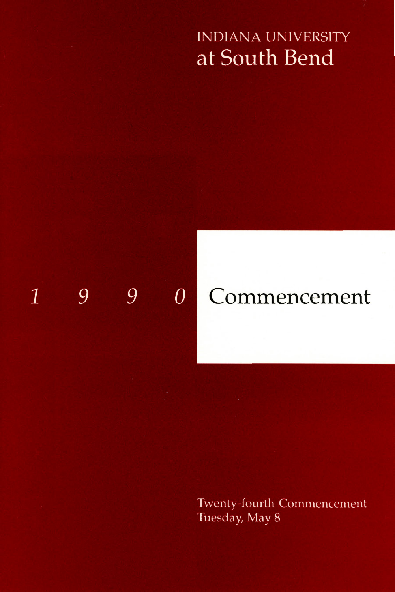## **INDIANA UNIVERSITY** at South Bend

#### 9 9  $\overline{0}$  $\mathbf{1}$

# Commencement

Twenty-fourth Commencement Tuesday, May 8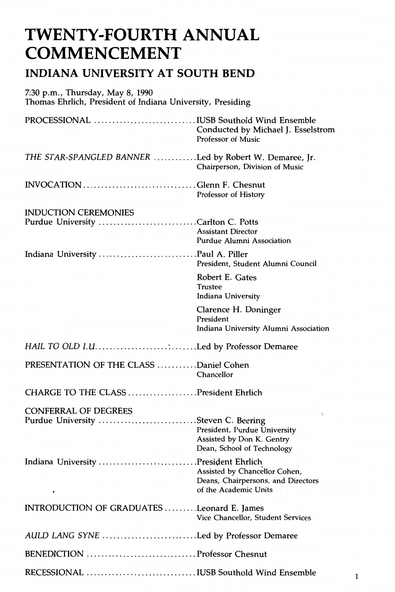## **TWENTY-FOURTH ANNUAL COMMENCEMENT**

### **INDIANA UNIVERSITY AT SOUTH BEND**

| 7:30 p.m., Thursday, May 8, 1990<br>Thomas Ehrlich, President of Indiana University, Presiding |                                                                                               |
|------------------------------------------------------------------------------------------------|-----------------------------------------------------------------------------------------------|
|                                                                                                | Conducted by Michael J. Esselstrom<br><b>Professor of Music</b>                               |
| THE STAR-SPANGLED BANNER Led by Robert W. Demaree, Jr.                                         | Chairperson, Division of Music                                                                |
| INVOCATION Glenn F. Chesnut                                                                    | Professor of History                                                                          |
| <b>INDUCTION CEREMONIES</b><br>Purdue University Carlton C. Potts                              | <b>Assistant Director</b><br>Purdue Alumni Association                                        |
|                                                                                                | President, Student Alumni Council                                                             |
|                                                                                                | Robert E. Gates<br><b>Trustee</b><br>Indiana University                                       |
|                                                                                                | Clarence H. Doninger<br>President<br>Indiana University Alumni Association                    |
| HAIL TO OLD I.ULed by Professor Demaree                                                        |                                                                                               |
| PRESENTATION OF THE CLASS Daniel Cohen                                                         | Chancellor                                                                                    |
| CHARGE TO THE CLASS President Ehrlich                                                          |                                                                                               |
| <b>CONFERRAL OF DEGREES</b><br>Purdue University Steven C. Beering                             | ÷,<br>President, Purdue University<br>Assisted by Don K. Gentry<br>Dean, School of Technology |
| Indiana University President Ehrlich                                                           | Assisted by Chancellor Cohen,<br>Deans, Chairpersons, and Directors<br>of the Academic Units  |
| INTRODUCTION OF GRADUATES Leonard E. James                                                     | Vice Chancellor, Student Services                                                             |
| AULD LANG SYNE Led by Professor Demaree                                                        |                                                                                               |
|                                                                                                |                                                                                               |
| RECESSIONAL IUSB Southold Wind Ensemble                                                        |                                                                                               |

 $\mathbf 1$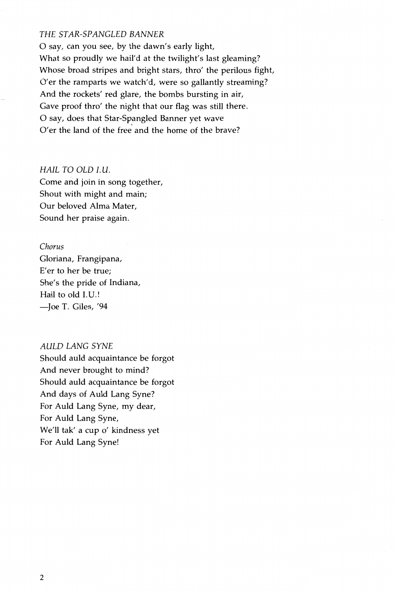### THE STAR-SPANGLED BANNER

0 say, can you see, by the dawn's early light, What so proudly we hail'd at the twilight's last gleaming? Whose broad stripes and bright stars, thro' the perilous fight, O'er the ramparts we watch'd, were so gallantly streaming? And the rockets' red glare, the bombs bursting in air, Gave proof thro' the night that our flag was still there. O say, does that Star-Spangled Banner yet wave O'er the land of the free and the home of the brave?

#### HAIL TO OLD l.U.

Come and join in song together, Shout with might and main; Our beloved Alma Mater, Sound her praise again.

### *Chorus*

Gloriana, Frangipana, E'er to her be true; She's the pride of Indiana, Hail to old I.U.! -Joe T. Giles, '94

### AULD LANG SYNE

Should auld acquaintance be forgot And never brought to mind? Should auld acquaintance be forgot And days of Auld Lang Syne? For Auld Lang Syne, my dear, For Auld Lang Syne, We'll tak' a cup o' kindness yet For Auld Lang Syne!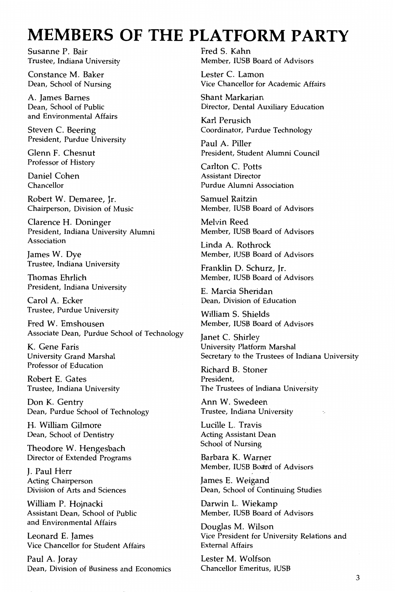## **MEMBERS OF THE PLATFORM PARTY**

Susanne P. Bair Trustee, Indiana University

Constance M. Baker Dean, School of Nursing

A. James Barnes Dean, School of Public and Environmental Affairs

Steven C. Beering President, Purdue University

Glenn F. Chesnut Professor of History

Daniel Cohen Chancellor

Robert W. Demaree, Jr. Chairperson, Division of Music

Clarence H. Doninger President, Indiana University Alumni Association

James W. Dye Trustee, Indiana University

Thomas Ehrlich President, Indiana University

Carol A. Ecker Trustee, Purdue University

Fred W. Emshousen Associate Dean, Purdue School of Technology

K. Gene Faris University Grand Marshal Professor of Education

Robert E. Gates Trustee, Indiana University

Don K. Gentry Dean, Purdue School of Technology

H. William Gilmore Dean, School of Dentistry

Theodore W. Hengesbach Director of Extended Programs

J. Paul Herr Acting Chairperson Division of Arts and Sciences

William P. Hojnacki Assistant Dean, School of Public and Environmental Affairs

Leonard E. James Vice Chancellor for Student Affairs

Paul A. Joray Dean, Division of Business and Economics

Fred S. Kahn Member, IUSB Board of Advisors

Lester C. Lamon Vice Chancellor for Academic Affairs

Shant Markarian Director, Dental Auxiliary Education

Karl Perusich Coordinator, Purdue Technology

Paul A. Piller President, Student Alumni Council

Carlton C. Potts Assistant Director Purdue Alumni Association

Samuel Raitzin Member, IUSB Board of Advisors

Melvin Reed Member, IUSB Board of Advisors

Linda A. Rothrock Member, IUSB Board of Advisors

Franklin D. Schurz, Jr. Member, IUSB Board of Advisors

E. Marcia Sheridan Dean, Division of Education

William S. Shields Member, IUSB Board of Advisors

Janet C. Shirley University Platform Marshal Secretary to the Trustees of Indiana University

Richard B. Stoner President, The Trustees of Indiana University

Ann W. Swedeen Trustee, Indiana University

Lucille L. Travis Acting Assistant Dean School of Nursing

Barbara K. Warner Member, IUSB Board of Advisors

James E. Weigand Dean, School of Continuing Studies

Darwin L. Wiekamp Member, IUSB Board of Advisors

Douglas M. Wilson Vice President for University Relations and External Affairs

Lester M. Wolfson Chancellor Emeritus, IUSB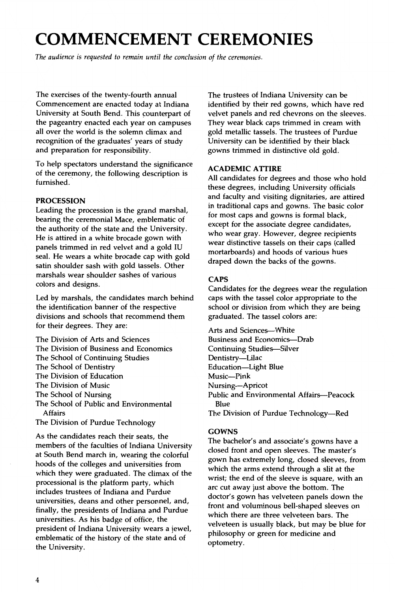## **COMMENCEMENT CEREMONIES**

*The audience* is *requested to remain until the conclusion of the ceremonies.* 

The exercises of the twenty-fourth annual Commencement are enacted today at Indiana University at South Bend. This counterpart of the pageantry enacted each year on campuses all over the world is the solemn climax and recognition of the graduates' years of study and preparation for responsibility.

To help spectators understand the significance of the ceremony, the following description is furnished.

#### **PROCESSION**

Leading the procession is the grand marshal, bearing the ceremonial Mace, emblematic of the authority of the state and the University. He is attired in a white brocade gown with panels trimmed in red velvet and a gold IU seal. He wears a white brocade cap with gold satin shoulder sash with gold tassels. Other marshals wear shoulder sashes of various colors and designs.

Led by marshals, the candidates march behind the identification banner of the respective divisions and schools that recommend them for their degrees. They are:

The Division of Arts and Sciences The Division of Business and Economics The School of Continuing Studies The School of Dentistry The Division of Education The Division of Music The School of Nursing The School of Public and Environmental Affairs The Division of Purdue Technology

As the candidates reach their seats, the members of the faculties of Indiana University at South Bend march in, wearing the colorful hoods of the colleges and universities from which they were graduated. The climax of the processional is the platform party, which includes trustees of Indiana and Purdue universities, deans and other personnel, and, finally, the presidents of Indiana and Purdue universities. As his badge of office, the president of Indiana University wears a jewel, emblematic of the history of the state and of the University.

The trustees of Indiana University can be identified by their red gowns, which have red velvet panels and red chevrons on the sleeves. They wear black caps trimmed in cream with gold metallic tassels. The trustees of Purdue University can be identified by their black gowns trimmed in distinctive old gold.

#### **ACADEMIC ATTIRE**

All candidates for degrees and those who hold these degrees, including University officials and faculty and visiting dignitaries, are attired in traditional caps and gowns. The basic color for most caps and gowns is formal black, except for the associate degree candidates, who wear gray. However, degree recipients wear distinctive tassels on their caps (called mortarboards) and hoods of various hues draped down the backs of the gowns.

### **CAPS**

Candidates for the degrees wear the regulation caps with the tassel color appropriate to the school or division from which they are being graduated. The tassel colors are:

Arts and Sciences--- White Business and Economics-Drab Continuing Studies-Silver Dentistry-Lilac Education-Light Blue Music-Pink Nursing-Apricot Public and Environmental Affairs-Peacock Blue The Division of Purdue Technology-Red

#### **GOWNS**

The bachelor's and associate's gowns have a closed front and open sleeves. The master's gown has extremely long, closed sleeves, from which the arms extend through a slit at the wrist; the end of the sleeve is square, with an arc cut away just above the bottom. The doctor's gown has velveteen panels down the front and voluminous bell-shaped sleeves on which there are three velveteen bars. The velveteen is usually black, but may be blue for philosophy or green for medicine and optometry.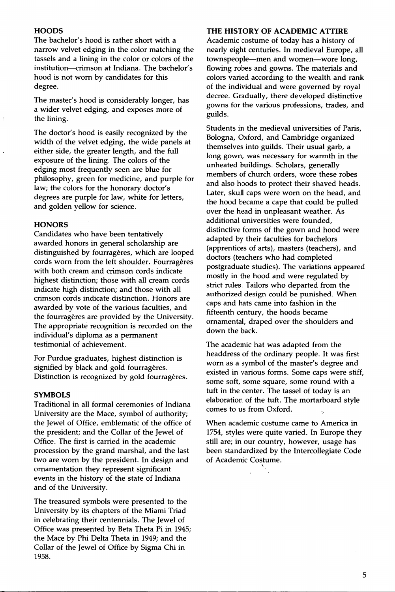#### **HOODS**

The bachelor's hood is rather short with a narrow velvet edging in the color matching the tassels and a lining in the color or colors of the institution-crimson at Indiana. The bachelor's hood is not worn by candidates for this degree.

The master's hood is considerably longer, has a wider velvet edging, and exposes more of the lining.

The doctor's hood is easily recognized by the width of the velvet edging, the wide panels at either side, the greater length, and the full exposure of the lining. The colors of the edging most frequently seen are blue for philosophy, green for medicine, and purple for law; the colors for the honorary doctor's degrees are purple for law, white for letters, and golden yellow for science.

#### **HONORS**

Candidates who have been tentatively awarded honors in general scholarship are distinguished by fourrageres, which are looped cords worn from the left shoulder. Fourragères with both cream and crimson cords indicate highest distinction; those with all cream cords indicate high distinction; and those with all crimson cords indicate distinction. Honors are awarded by vote of the various faculties, and the fourragères are provided by the University. The appropriate recognition is recorded on the individual's diploma as a permanent testimonial of achievement.

For Purdue graduates, highest distinction is signified by black and gold fourragères. Distinction is recognized by gold fourrageres.

#### **SYMBOLS**

Traditional in all formal ceremonies of Indiana University are the Mace, symbol of authority; the Jewel of Office, emblematic of the office of the president; and the Collar of the Jewel of Office. The first is carried in the academic procession by the grand marshal, and the last two are worn by the president. In design and ornamentation they represent significant events in the history of the state of Indiana and of the University.

The treasured symbols were presented to the University by its chapters of the Miami Triad in celebrating their centennials. The Jewel of Office was presented by Beta Theta Pi in 1945; the Mace by Phi Delta Theta in 1949; and the Collar of the Jewel of Office by Sigma Chi in 1958.

### **THE HISTORY OF ACADEMIC AITIRE**

Academic costume of today has a history of nearly eight centuries. In medieval Europe, all townspeople--men and women--wore long, flowing robes and gowns. The materials and colors varied according to the wealth and rank of the individual and were governed by royal decree. Gradually, there developed distinctive gowns for the various professions, trades, and guilds.

Students in the medieval universities of Paris, Bologna, Oxford, and Cambridge organized themselves into guilds. Their usual garb, a long gown, was necessary for warmth in the unheated buildings. Scholars, generally members of church orders, wore these robes and also hoods to protect their shaved heads. Later, skull caps were worn on the head, and the hood became a cape that could be pulled over the head in unpleasant weather. As additional universities were founded, distinctive forms of the gown and hood were adapted by their faculties for bachelors (apprentices of arts), masters (teachers), and doctors (teachers who had completed postgraduate studies). The variations appeared mostly in the hood and were regulated by strict rules. Tailors who departed from the authorized design could be punished. When caps and hats came into fashion in the fifteenth century, the hoods became ornamental, draped over the shoulders and down the back.

The academic hat was adapted from the headdress of the ordinary people. It was first worn as a symbol of the master's degree and existed in various forms. Some caps were stiff, some soft, some square, some round with a tuft in the center. The tassel of today is an elaboration of the tuft. The mortarboard style comes to us from Oxford.

When academic costume came to America in 1754, styles were quite varied. In Europe they still are; in our country, however, usage has been standardized by the Intercollegiate Code of Academic Costume. '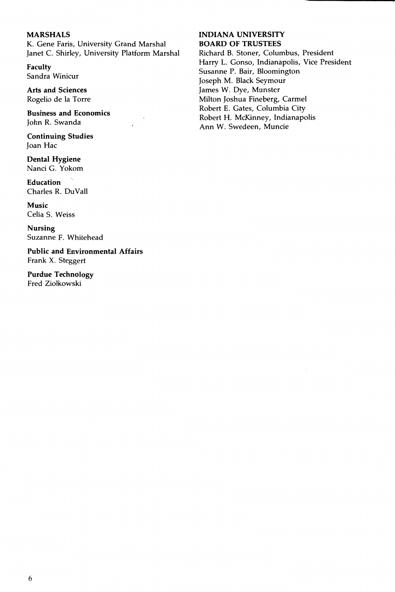### **MARSHALS**

K. Gene Faris, University Grand Marshal Janet C. Shirley, University Platform Marshal

**Faculty**  Sandra Winicur

**Arts and Sciences**  Rogelio de Ia Torre

**Business and Economics**  John R. Swanda

**Continuing Studies**  Joan Hac

**Dental Hygiene**  Nanci G. Yokom

**Education**  Charles R. DuVall

**Music**  Celia S. Weiss

**Nursing**  Suzanne F. Whitehead

**Public and Environmental Affairs**  Frank X. Steggert

**Purdue Technology**  Fred Ziolkowski

#### **INDIANA UNIVERSITY BOARD OF TRUSTEES**

Richard B. Stoner, Columbus, President Harry L. Gonso, Indianapolis, Vice President Susanne P. Bair, Bloomington Joseph M. Black Seymour James W. Dye, Munster Milton Joshua Fineberg, Carmel Robert E. Gates, Columbia City Robert H. McKinney, Indianapolis Ann W. Swedeen, Muncie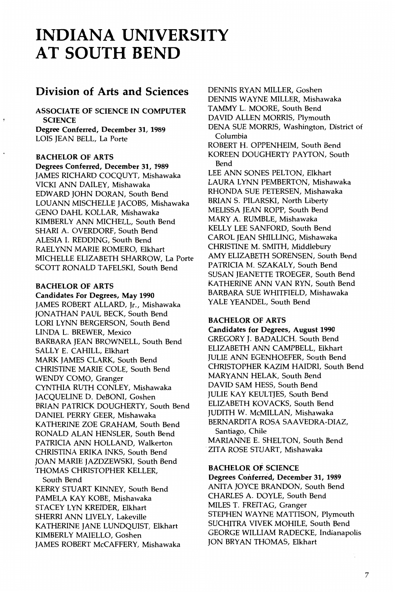## **INDIANA UNIVERSITY AT SOUTH BEND**

### **Division of Arts and Sciences**

ASSOCIATE OF SCIENCE IN COMPUTER **SCIENCE** 

Degree Conferred, December 31, 1989 LOIS JEAN BELL, La Porte

### BACHELOR OF ARTS

Degrees Conferred, December 31, 1989 JAMES RICHARD COCQUYT, Mishawaka VICKI ANN DAILEY, Mishawaka EDWARD JOHN DORAN, South Bend LOUANN MISCHELLE JACOBS, Mishawaka GENO DAHL KOLLAR, Mishawaka KIMBERLY ANN MICHELL, South Bend SHARI A. OVERDORF, South Bend ALESIA I. REDDING, South Bend RAELYNN MARIE ROMERO, Elkhart MICHELLE ELIZABETH SHARROW, La Porte SCOTT RONALD TAFELSKI, South Bend

#### BACHELOR OF ARTS

Candidates For Degrees, May 1990 JAMES ROBERT ALLARD, Jr., Mishawaka JONATHAN PAUL BECK, South Bend LORI LYNN BERGERSON, South Bend LINDA L. BREWER, Mexico BARBARA JEAN BROWNELL, South Bend SALLY E. CAHILL, Elkhart MARK JAMES CLARK, South Bend CHRISTINE MARIE COLE, South Bend WENDY COMO, Granger CYNTHIA RUTH CONLEY, Mishawaka JACQUELINE D. DeBONI, Goshen BRIAN PATRICK DOUGHERTY, South Bend DANIEL PERRY GEER, Mishawaka KATHERINE ZOE GRAHAM, South Bend RONALD ALAN HENSLER, South Bend PATRICIA ANN HOLLAND, Walkerton CHRISTINA ERIKA INKS, South Bend JOAN MARIE JAZDZEWSKI, South Bend THOMAS CHRISTOPHER KELLER, South Bend KERRY STUART KINNEY, South Bend PAMELA KAY KOBE, Mishawaka STACEY LYN KREIDER, Elkhart SHERRI ANN LIVELY, Lakeville

KATHERINE JANE LUNDQUIST, Elkhart KIMBERLY MAIELLO, Goshen JAMES ROBERT McCAFFERY, Mishawaka DENNIS RYAN MILLER, Goshen DENNIS WAYNE MILLER, Mishawaka TAMMY L. MOORE, South Bend DAVID ALLEN MORRIS, Plymouth DENA SUE MORRIS, Washington, District of Columbia ROBERT H. OPPENHEIM, South Bend KOREEN DOUGHERTY PAYTON, South Bend LEE ANN SONES PELTON, Elkhart LAURA LYNN PEMBERTON, Mishawaka RHONDA SUE PETERSEN, Mishawaka BRIAN S. PILARSKI, North Liberty MELISSA JEAN ROPP, South Bend MARY A. RUMBLE, Mishawaka KELLY LEE SANFORD, South Bend CAROL JEAN SHILLING, Mishawaka CHRISTINE M. SMITH, Middlebury AMY ELIZABETH SORENSEN, South Bend PATRICIA M. SZAKALY, South Bend SUSAN JEANETTE TROEGER, South Bend KATHERINE ANN VAN RYN, South Bend BARBARA SUE WHITFIELD, Mishawaka YALE YEANDEL, South Bend

### BACHELOR OF ARTS

Candidates for Degrees, August 1990 GREGORY J. BADALICH, South Bend ELIZABETH ANN CAMPBELL, Elkhart JULIE ANN EGENHOEFER, South Bend CHRISTOPHER KAZIM HAIDRI, South Bend MARYANN HELAK, South Bend DAVID SAM HESS, South Bend JULIE KAY KEULTJES, South Bend ELIZABETH KOVACKS, South Bend JUDITH W. McMILLAN, Mishawaka BERNARDITA ROSA SAAVEDRA-DIAZ, Santiago, Chile

MARIANNE E. SHELTON, South Bend ZITA ROSE STUART, Mishawaka

### BACHELOR OF. SCIENCE

Degrees Conferred, December 31, 1989 ANITA JOYCE BRANDON, South Bend CHARLES A. DOYLE, South Bend MILES T. FREITAG, Granger STEPHEN WAYNE MATTISON, Plymouth SUCHITRA VIVEK MOHILE, South Bend GEORGE WILLIAM RADECKE, Indianapolis JON BRYAN THOMAS, Elkhart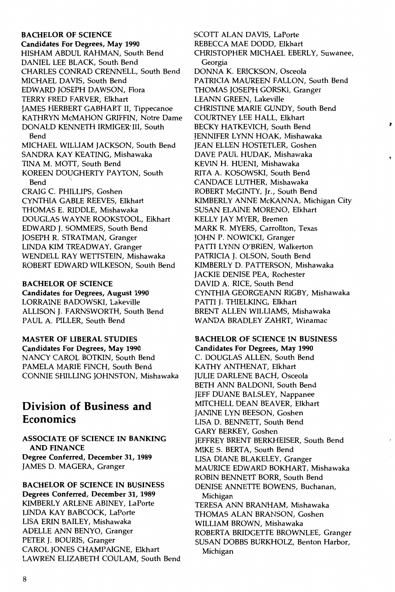### BACHELOR OF SCIENCE Candidates For Degrees, May 1990 HISHAM ABDUL RAHMAN, South Bend DANIEL LEE BLACK, South Bend CHARLES CONRAD CRENNELL, South Bend MICHAEL DAVIS, South Bend EDWARD JOSEPH DAWSON, Flora TERRY FRED FARVER, Elkhart JAMES HERBERT GABHART II, Tippecanoe KATHRYN McMAHON GRIFFIN, Notre Dame DONALD KENNETH IRMIGER' III, South Bend MICHAEL WILLIAM JACKSON, South Bend SANDRA KAY KEATING, Mishawaka TINA M. MOTT, South Bend KOREEN DOUGHERTY PAYTON, South Bend CRAIG C. PHILLIPS, Goshen CYNTHIA GABLE REEVES, Elkhart THOMAS E. RIDDLE, Mishawaka DOUGLAS WAYNE ROOKSTOOL, Elkhart EDWARD J. SOMMERS, South Bend JOSEPH R. STRATMAN, Granger LINDA KIM TREADWAY, Granger WENDELL RAY WETTSTEIN, Mishawaka ROBERT EDWARD WILKESON, South Bend

### BACHELOR OF SCIENCE

Candidates for Degrees, August 1990 LORRAINE BADOWSKI, Lakeville ALLISON J. FARNSWORTH, South Bend PAUL A. PILLER, South Bend

MASTER OF LIBERAL STUDIES Candidates For Degrees, May 1990 NANCY CAROL BOTKIN, South Bend PAMELA MARIE FINCH, South Bend CONNIE SHILLING JOHNSTON, Mishawaka

### **Division of Business and Economics**

ASSOCIATE OF SCIENCE IN BANKING AND FINANCE Degree Conferred, December 31, 1989 JAMES D. MAGERA, Granger

BACHELOR OF SCIENCE IN BUSINESS Degrees Conferred, December 31, 1989 KIMBERLY ARLENE ABINEY, LaPorte LINDA KAY BABCOCK, LaPorte LISA ERIN BAILEY, Mishawaka ADELLE ANN BENYO, Granger PETER J. BOURIS, Granger CAROL JONES CHAMPAIGN£, Elkhart LAWREN ELIZABETH COULAM, South Bend SCOTT ALAN DAVIS, LaPorte REBECCA MAE DODD, Elkhart CHRISTOPHER MICHAEL EBERLY, Suwanee, Georgia DONNA K. ERICKSON, Osceola PATRICIA MAUREEN FALLON, South Bend THOMAS JOSEPH GORSKI, Granger LEANN GREEN, Lakeville CHRISTINE MARIE GUNDY, South Bend COURTNEY LEE HALL, Elkhart BECKY HATKEVICH, South Bend JENNIFER LYNN HOAK, Mishawaka JEAN ELLEN HOSTETLER, Goshen DAVE PAUL HUDAK, Mishawaka KEVIN H. HUENI, Mishawaka RITA A. KOSOWSKI, South Bend CANDACE LUTHER, Mishawaka ROBERT McGINTY, Ir., South Bend KIMBERLY ANNE McKANNA, Michigan City SUSAN ELAINE MORENO, Elkhart KELLY JAY MYER, Bremen MARK R. MYERS, Carrollton, Texas JOHN P. NOWICKI, Granger PATTI LYNN O'BRIEN, Walkerton PATRICIA J. OLSON, South Bend KIMBERLY D. PATTERSON, Mishawaka JACKIE DENISE PEA, Rochester DAVID A. RICE, South Bend CYNTHIA GEORGEANN RIGBY, Mishawaka PATTI I. THIELKING, Elkhart BRENT ALLEN WILLIAMS, Mishawaka WANDA BRADLEY ZAHRT, Winamac

 $\blacksquare$ 

### BACHELOR OF SCIENCE IN BUSINESS

Candidates For Degrees, May 1990 C. DOUGLAS ALLEN, South Bend KATHY ANTHENAT, Elkhart JULIE DARLENE BACH, Osceola BETH ANN BALDONI, South Bend JEFF DUANE BALSLEY, Nappanee MITCHELL DEAN BEAVER, Elkhart **JANINE LYN BEESON, Goshen** LISA D. BENNETT, South Bend GARY BERKEY, Goshen JEFFREY BRENT BERKHEISER, South Bend MIKE S. BERTA, South Bend LISA DIANE BLAKELEY, Granger MAURICE EDWARD BOKHART, Mishawaka ROBIN BENNETT BORR, South Bend DENISE ANNETTE BOWENS, Buchanan, Michigan TERESA ANN BRANHAM, Mishawaka THOMAS ALAN BRANSON, Goshen WILLIAM BROWN, Mishawaka ROBERTA BRIDGETT£ BROWNLEE, Granger SUSAN DOBBS BURKHOLZ, Benton Harbor, Michigan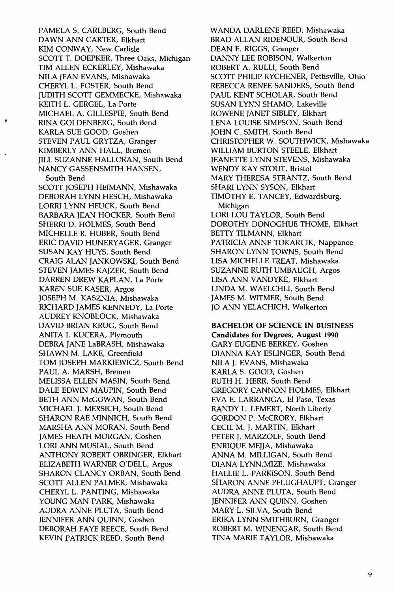PAMELA S. CARLBERG, South Bend DAWN ANN CARTER, Elkhart KIM CONWAY, New Carlisle SCOTT T. DOEPKER, Three Oaks, Michigan TIM ALLEN ECKERLEY, Mishawaka NILA JEAN EVANS, Mishawaka CHERYL L. FOSTER, South Bend JUDITH SCOTT GEMMECKE, Mishawaka KEITH L. GERGEL, La Porte MICHAEL A. GILLESPIE, South Bend RINA GOLDENBERG, South Bend KARLA SUE GOOD, Goshen STEVEN PAUL GRYTZA, Granger KIMBERLY ANN HALL, Bremen JILL SUZANNE HALLORAN, South Bend NANCY GASSENSMITH HANSEN, South Bend SCOTT JOSEPH HEIMANN, Mishawaka DEBORAH LYNN HESCH, Mishawaka LORRI LYNN HEUCK, South Bend BARBARA JEAN HOCKER, South Bend SHERR! D. HOLMES, South Bend MICHELLE R. HUBER, South Bend ERIC DAVID HUNERYAGER, Granger SUSAN KAY HUYS, South Bend CRAIG ALAN JANKOWSKI, South Bend STEVEN JAMES KAJZER, South Bend DARREN DREW KAPLAN, La Porte KAREN SUE KASER, Argos JOSEPH M. KASZNIA, Mishawaka RICHARD JAMES KENNEDY, La Porte AUDREY KNOBLOCK, Mishawaka DAVID BRIAN KRUG, South Bend ANITA I. KUCERA, Plymouth DEBRA JANE LaBRASH, Mishawaka SHAWN M. LAKE, Greenfield TOM JOSEPH MARKIEWICZ, South Bend PAUL A. MARSH, Bremen MELISSA ELLEN MASIN, South Bend DALE EDWIN MAUPIN, South Bend BETH ANN McGOWAN, South Bend MICHAEL J. MERSICH, South Bend SHARON RAE MINNICH, South Bend MARSHA ANN MORAN, South Bend JAMES HEATH MORGAN, Goshen LORI ANN MUSIAL, South Bend ANTHONY ROBERT OBRINGER, Elkhart ELIZABETH WARNER O'DELL, Argos SHARON CLANCY ORBAN, South Bend SCOTT ALLEN PALMER, Mishawaka CHERYL L. PANTING, Mishawaka YOUNG MAN PARK, Mishawaka AUDRA ANNE PLUTA, South Bend JENNIFER ANN QUINN, Goshen DEBORAH FAYE REECE, South Bend KEVIN PATRICK REED, South Bend

WANDA DARLENE REED, Mishawaka BRAD ALLAN RIDENOUR, South Bend DEAN E. RIGGS, Granger DANNY LEE ROBISON, Walkerton ROBERT A. RULLI, South Bend SCOTT PHILIP RYCHENER, Pettisville, Ohio REBECCA RENEE SANDERS, South Bend PAUL KENT SCHOLAR, South Bend SUSAN LYNN SHAMO, Lakeville ROWENE JANET SIBLEY, Elkhart LENA LOUISE SIMPSON, South Bend JOHN C. SMITH, South Bend CHRISTOPHER W. SOUTHWICK, Mishawaka WILLIAM BURTON STEELE, Elkhart JEANETTE LYNN STEVENS, Mishawaka WENDY KAY STOUT, Bristol MARY THERESA STRANTZ, South Bend SHARI LYNN SYSON, Elkhart TIMOTHY E. TANCEY, Edwardsburg, Michigan LORI LOU TAYLOR, South Bend DOROTHY DONOGHUE THOME, Elkhart BETTY TILMANN, Elkhart PATRICIA ANNE TOKARCIK, Nappanee SHARON LYNN TOWNS, South Bend LISA MICHELLE TREAT, Mishawaka SUZANNE RUTH UMBAUGH, Argos LISA ANN VANDYKE, Elkhart LINDA M. WAELCHLI, South Bend JAMES M. WITMER, South Bend JO ANN YELACHICH, Walkerton

### BACHELOR OF SCIENCE IN BUSINESS Candidates for Degrees, August 1990 GARY EUGENE BERKEY, Goshen DIANNA KAY ESLINGER, South Bend NILA J. EVANS, Mishawaka KARLA S. GOOD, Goshen

RUTH H. HERR, South Bend GREGORY CANNON HOLMES, Elkhart EVA E. LARRANGA, El Paso, Texas RANDY L. LEMERT, North Liberty GORDON P. McCRORY, Elkhart CECIL M. J. MARTIN, Elkhart PETER J. MARZOLF, South Bend ENRIQUE MEJJA, Mishawaka ANNA M. MILLIGAN, South Bend DIANA LYNN;MIZE, Mishawaka HALLIE L. PARKISON, South Bend SHARON ANNE PFLUGHAUPT, Granger AUDRA ANNE PLUTA, South Bend JENNIFER ANN QUINN, Goshen MARY L. SILVA, South Bend ERIKA LYNN SMITHBURN, Granger ROBERT M. WINENGAR, South Bend TINA MARIE TAYLOR, Mishawaka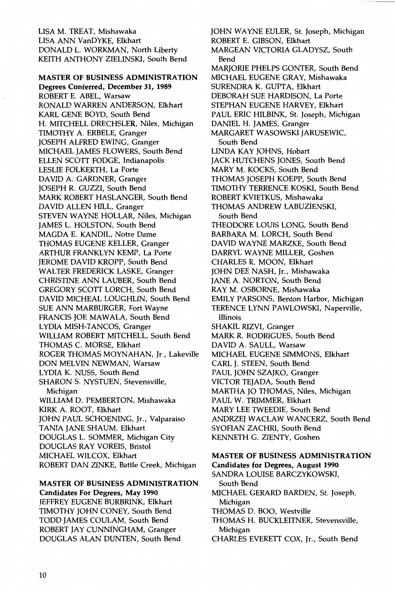LISA M. TREAT, Mishawaka LISA ANN VanDYKE, Elkhart DONALD L. WORKMAN, North Liberty KEITH ANTHONY ZIELINSKI, South Bend

### **MASTER OF BUSINESS ADMINISTRATION**

**Degrees Conferred, December 31, 1989**  ROBERT E. ABEL, Warsaw RONALD WARREN ANDERSON, Elkhart KARL GENE BOYD, South Bend H. MITCHELL DRECHSLER, Niles, Michigan TIMOTHY A. ERBELE, Granger JOSEPH ALFRED EWING, Granger MICHAEL JAMES FLOWERS, South Bend ELLEN SCOTT FODGE, Indianapolis LESLIE FOLKERTH, La Porte DAVID A: GARDNER, Granger JOSEPH R. GUZZI, South Bend MARK ROBERT HASLANGER, South Bend DAVID ALLEN HILL, Granger STEVEN WAYNE HOLLAR, Niles, Michigan JAMES L. HOLSTON, South Bend MAGDA E. KANDIL, Notre Dame THOMAS EUGENE KELLER, Granger ARTHUR FRANKLYN KEMP, La Porte JEROME DAVID KROPP, South Bend WALTER FREDERICK LASKE, Granger CHRISTINE ANN LAUBER, South Bend GREGORY SCOTT LORCH, South Bend DAVID MICHEAL LOUGHLIN, South Bend SUE ANN MARBURGER, Fort Wayne FRANCIS JOE MAWALA, South Bend LYDIA MISH-TANCOS, Granger WILLIAM ROBERT MITCHELL, South Bend THOMAS C. MORSE, Elkhart ROGER THOMAS MOYNAHAN, Jr., Lakeville DON MELVIN NEWMAN, Warsaw LYDIA K. NUSS, South Bend SHARON S. NYSTUEN, Stevensville, Michigan WILLIAM D. PEMBERTON, Mishawaka KIRK A. ROOT, Elkhart JOHN PAUL SCHOENING, Jr., Valparaiso TANIA JANE SHAUM, Elkhart DOUGLAS L. SOMMER, Michigan City DOUGLAS RAY VOREIS, Bristol MICHAEL WILCOX, Elkhart ROBERT DAN ZINKE, Battle Creek; Michigan

**MASTER OF BUSINESS ADMINISTRATION Candidates For Degrees, May 1990**  JEFFREY EUGENE BURBRINK, Elkhart TIMOTHY JOHN CONEY, South Bend TODD JAMES COULAM, South Bend ROBERT JAY CUNNINGHAM, Granger DOUGLAS ALAN DUNTEN, South Bend

JOHN WAYNE EULER, St. Joseph, Michigan ROBERT E. GIBSON, Elkhart MARGEAN VICTORIA GLADYSZ, South Bend MARJORIE PHELPS GONTER, South Bend MICHAEL EUGENE GRAY, Mishawaka SURENDRA K. GUPTA, Elkhart DEBORAH SUE HARDISON, La Porte STEPHAN EUGENE HARVEY, Elkhart PAUL ERIC HILBINK, St. Joseph, Michigan DANIEL H. JAMES, Granger MARGARET WASOWSKI JARUSEWIC, South Bend LINDA KAY JOHNS, Hobart JACK HUTCHENS JONES, South Bend MARY M. KOCKS, South Bend THOMAS JOSEPH KOEPP, South Bend TIMOTHY TERRENCE KOSKI, South Bend ROBERT KVIETKUS, Mishawaka THOMAS ANDREW LABUZIENSKI, South Bend THEODORE LOUIS LONG, South Bend BARBARA M. LORCH, South Bend DAVID WAYNE MARZKE, South Bend DARRYL WAYNE MILLER, Goshen CHARLES R. MOON, Elkhart JOHN DEE NASH, Jr., Mishawaka JANE A. NORTON, South Bend RAY M. OSBORNE, Mishawaka EMILY PARSONS, Benton Harbor, Michigan TERENCE LYNN PAWLOWSKI, Naperville, Illinois SHAKIL RIZVI, Granger MARK R. RODRIGUES, South Bend DAVID A. SAULL, Warsaw MICHAEL EUGENE SIMMONS, Elkhart CARL **J.** STEEN, South Bend PAUL JOHN SZAJKO, Granger VICTOR TEJADA, South Bend MARTHA JO THOMAS, Niles, Michigan PAUL W. TRIMMER, Elkhart MARY LEE TWEEDIE, South Bend ANDRZEJ WACLAW WANCERZ, South Bend SYOFIAN ZACHRI, South Bend KENNETH G. ZIENTY, Goshen

### **MASTER OF BUSINESS ADMINISTRATION Candidates for Degrees, August 1990**

SANDRA LOUISE BARCZYKOWSKI, South Bend MICHAEL GERARD BARDEN, St. Joseph, Michigan THOMAS D. BOO, Westville THOMAS H. BUCKLEITNER, Stevensville, Michigan CHARLES EVERETT COX, Jr., South Bend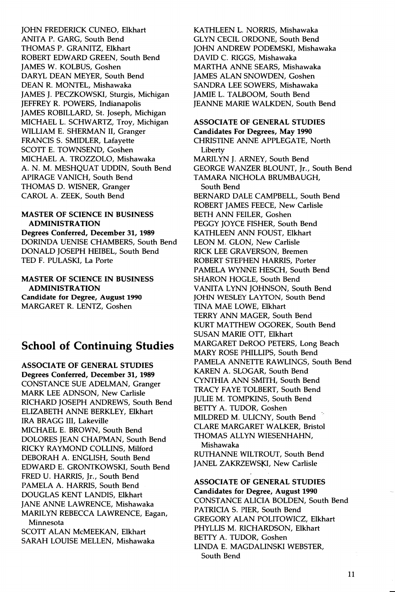JOHN FREDERICK CUNEO, Elkhart ANITA P. GARG, South Bend THOMAS P. GRANITZ, Elkhart ROBERT EDWARD GREEN, South Bend JAMES W. KOLBUS, Goshen DARYL DEAN MEYER, South Bend DEAN R. MONTEL, Mishawaka JAMES J. PECZKOWSKI, Sturgis, Michigan JEFFREY R. POWERS, Indianapolis JAMES ROBILLARD, St. Joseph, Michigan MICHAEL L. SCHWARTZ, Troy, Michigan WILLIAM E. SHERMAN II, Granger FRANCIS S. SMIDLER, Lafayette SCOTT E. TOWNSEND, Goshen MICHAEL A. TROZZOLO, Mishawaka A. N. M. MESHQUAT UDDIN, South Bend APIRAGE V ANICH, South Bend THOMAS D. WISNER, Granger CAROL A. ZEEK, South Bend

#### MASTER OF SCIENCE IN BUSINESS ADMINISTRATION

Degrees Conferred, December 31, 1989 DORINDA UENISE CHAMBERS, South Bend DONALD JOSEPH HEIBEL, South Bend TED F. PULASKI, La Porte

MASTER OF SCIENCE IN BUSINESS ADMINISTRATION Candidate for Degree, August 1990 MARGARET R. LENTZ, Goshen

### **School of Continuing Studies**

ASSOCIATE OF GENERAL STUDIES Degrees Conferred, December 31, 1989 CONSTANCE SUE ADELMAN, Granger MARK LEE ADNSON, New Carlisle RICHARD JOSEPH ANDREWS, South Bend ELIZABETH ANNE BERKLEY, Elkhart IRA BRAGG III, Lakeville MICHAEL E. BROWN, South Bend DOLORES JEAN CHAPMAN, South Bend RICKY RAYMOND COLLINS, Milford DEBORAH A. ENGLISH, South Bend EDWARD E. GRONTKOWSKI, South Bend FRED U. HARRIS, Jr., South Bend PAMELA A. HARRIS, South Bend DOUGLAS KENT LANDIS, Elkhart JANE ANNE LAWRENCE, Mishawaka MARILYN REBECCA LAWRENCE, Eagan, Minnesota SCOTT ALAN McMEEKAN, Elkhart SARAH LOUISE MELLEN, Mishawaka

KATHLEEN L. NORRIS, Mishawaka GLYN CECIL ORDONE, South Bend JOHN ANDREW PODEMSKI, Mishawaka DAVID C. RIGGS, Mishawaka MARTHA ANNE SEARS, Mishawaka JAMES ALAN SNOWDEN, Goshen SANDRA LEE SOWERS, Mishawaka JAMIE L. TALBOOM, South Bend JEANNE MARIE WALKDEN, South Bend

### ASSOCIATE OF GENERAL STUDIES

Candidates For Degrees, May 1990 CHRISTINE ANNE APPLEGATE, North Liberty MARILYN J. ARNEY, South Bend GEORGE WANZER BLOUNT, Jr., South Bend TAMARA NICHOLA BRUMBAUGH, South Bend BERNARD DALE CAMPBELL, South Bend ROBERT JAMES FEECE, New Carlisle BETH ANN FEILER, Goshen PEGGY JOYCE FISHER, South Bend KATHLEEN ANN FOUST, Elkhart LEON M. GLON, New Carlisle RICK LEE GRA VERSON, Bremen ROBERT STEPHEN HARRIS, Porter PAMELA WYNNE HESCH, South Bend SHARON HOGLE, South Bend VANITA LYNN JOHNSON, South Bend JOHN WESLEY LAYTON, South Bend TINA MAE LOWE, Elkhart TERRY ANN MAGER, South Bend KURT MATTHEW OGOREK, South Bend SUSAN MARIE OTT, Elkhart MARGARET DeROO PETERS, Long Beach MARY ROSE PHILLIPS, South Bend PAMELA ANNETTE RAWLINGS, South Bend KAREN A. SLOGAR, South Bend CYNTHIA ANN SMITH, South Bend TRACY FAYE TOLBERT, South Bend JULIE M. TOMPKINS, South Bend BETTY A. TUDOR, Goshen MILDRED M. ULICNY, South Bend CLARE MARGARET WALKER, Bristol THOMAS ALLYN WIESENHAHN, Mishawaka

RUTHANNE WILTROUT, South Bend JANEL ZAKRZEWSKI, New Carlisle

ASSOCIATE OF GENERAL STUDIES Candidates for Degree, August 1990 CONSTANCE ALICIA BOLDEN, South Bend PATRICIA S. PIER, South Bend GREGORY ALAN POLITOWICZ, Elkhart PHYLLIS M. RICHARDSON, Elkhart BETTY A. TUDOR, Goshen LINDA E. MAGDALINSKI WEBSTER, South Bend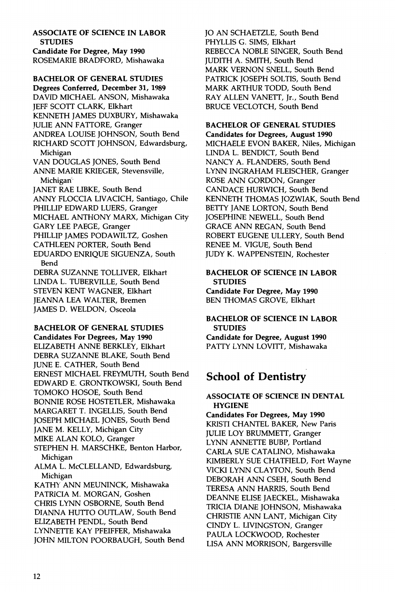**ASSOCIATE OF SCIENCE IN LABOR STUDIES Candidate For Degree, May 1990**  ROSEMARIE BRADFORD, Mishawaka

**BACHELOR OF GENERAL STUDIES** 

**Degrees Conferred, December 31, 1989**  DAVID MICHAEL ANSON, Mishawaka **IEFF SCOTT CLARK, Elkhart** KENNETH JAMES DUXBURY, Mishawaka JULIE ANN FATIORE, Granger ANDREA LOUISE JOHNSON, South Bend RICHARD SCOTT JOHNSON, Edwardsburg, Michigan VAN DOUGLAS JONES, South Bend ANNE MARIE KRIEGER, Stevensville, Michigan· JANET RAE LIBKE, South Bend ANNY FLOCCIA LIVACICH, Santiago, Chile PHILLIP EDWARD LUERS, Granger MICHAEL ANTHONY MARX, Michigan City GARY LEE PAEGE, Granger PHILLIP JAMES PODAWILTZ, Goshen CATHLEEN PORTER, South Bend EDUARDO ENRIQUE SIGUENZA, South Bend DEBRA SUZANNE TOLLIVER, Elkhart LINDA L. TUBERVILLE, South Bend STEVEN KENT WAGNER, Elkhart JEANNA LEA WALTER, Bremen JAMES D. WELDON, Osceola

**BACHELOR OF GENERAL STUDIES** 

**Candidates For Degrees, May 1990**  ELIZABETH ANNE BERKLEY, Elkhart DEBRA SUZANNE BLAKE, South Bend JUNE E. CATHER, South Bend ERNEST MICHAEL FREYMUTH, South Bend EDWARD E. GRONTKOWSKI, South Bend TOMOKO HOSOE, South Bend BONNIE ROSE HOSTETLER, Mishawaka MARGARET T. INGELLIS, South Bend JOSEPH MICHAEL JONES, South Bend JANE M. KELLY, Michigan City MIKE ALAN KOLO, Granger STEPHEN H. MARSCHKE, Benton Harbor, Michigan ALMA L. McCLELLAND, Edwardsburg, Michigan KATHY ANN MEUNINCK, Mishawaka PATRICIA M. MORGAN, Goshen CHRIS LYNN OSBORNE, South Bend DIANNA HUTIO OUTLAW, South Bend ELIZABETH PENDL, South Bend LYNNETTE KAY PFEIFFER, Mishawaka JOHN MILTON POORBAUGH, South Bend

JO AN SCHAETZLE, South Bend PHYLLIS G. SIMS, Elkhart REBECCA NOBLE SINGER, South Bend JUDITH A. SMITH, South Bend MARK VERNON SNELL, South Bend PATRICK JOSEPH SOLTIS, South Bend MARK ARTHUR TODD, South Bend RAY ALLEN VANETI, Jr., South Bend BRUCE VECLOTCH, South Bend

### **BACHELOR OF GENERAL STUDIES**

**Candidates for Degrees, August 1990**  MICHAELE EVON BAKER, Niles, Michigan LINDA L. BENDICT, South Bend NANCY A. FLANDERS, South Bend LYNN INGRAHAM FLEISCHER, Granger ROSE ANN GORDON, Granger CANDACE HURWICH, South Bend KENNETH THOMAS JOZWIAK, South Bend BETIY JANE LORTON, South Bend JOSEPHINE NEWELL, South Bend GRACE ANN REGAN, South Bend ROBERT EUGENE ULLERY, South Bend RENEE M. VIGUE, South Bend JUDY K. WAPPENSTEIN, Rochester

### **BACHELOR OF SCIENCE IN LABOR STUDIES**

**Candidate For Degree, May 1990**  BEN THOMAS GROVE, Elkhart

**BACHELOR OF SCIENCE IN LABOR STUDIES Candidate for Degree, August 1990**  PATTY LYNN LOVITT, Mishawaka

### **School of Dentistry**

### **ASSOCIATE OF SCIENCE IN DENTAL HYGIENE**

**Candidates For Degrees, May 1990**  KRISTI CHANTEL BAKER, New Paris JULIE LOY BRUMMETI, Granger LYNN ANNETIE BUBP, Portland CARLA SUE CATALINO, Mishawaka KIMBERLY SUE CHATFIELD, Fort Wayne VICKI LYNN CLAYTON, South Bend DEBORAH ANN CSEH, South Bend TERESA ANN HARRIS, South Bend DEANNE ELISE JAECKEL, Mishawaka TRICIA DIANE JOHNSON, Mishawaka CHRISTIE ANN LANT, Michigan City CINDY L. LIVINGSTON, Granger PAULA LOCKWOOD, Rochester LISA ANN MORRISON, Bargersville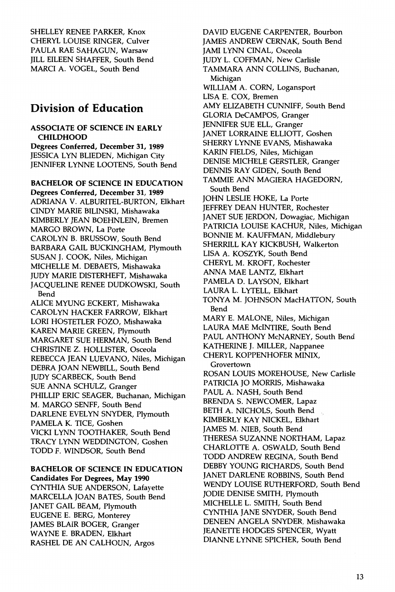SHELLEY RENEE PARKER, Knox CHERYL LOUISE RINGER, Culver PAULA RAE SAHAGUN, Warsaw JILL EILEEN SHAFFER, South Bend MARCI A. VOGEL, South Bend

### **Division of Education**

### **ASSOCIATE OF SCIENCE IN EARLY CHILDHOOD**

**Degrees Conferred, December 31, 1989**  JESSICA LYN BLIEDEN, Michigan City JENNIFER LYNNE LOOTENS, South Bend

**BACHELOR OF SCIENCE IN EDUCATION Degrees Conferred, December 31, 1989**  ADRIANA V. ALBURITEL-BURTON, Elkhart CINDY MARIE BILINSKI, Mishawaka KIMBERLY JEAN BOEHNLEIN, Bremen MARGO BROWN, La Porte CAROLYN B. BRUSSOW, South Bend BARBARA GAIL BUCKINGHAM, Plymouth SUSAN J. COOK, Niles, Michigan MICHELLE M. DEBAETS, Mishawaka JUDY MARIE DISTERHEFT, Mishawaka JACQUELINE RENEE DUDKOWSKI, South Bend ALICE MYUNG ECKERT, Mishawaka CAROLYN HACKER FARROW, Elkhart LORI HOSTETLER FOZO, Mishawaka KAREN MARIE GREEN, Plymouth MARGARET SUE HERMAN, South Bend

CHRISTINE Z. HOLLISTER, Osceola REBECCA JEAN LUEVANO, Niles, Michigan DEBRA JOAN NEWBILL, South Bend JUDY SCARBECK, South Bend SUE ANNA SCHULZ, Granger PHILLIP ERIC SEAGER, Buchanan, Michigan M. MARGO SENFF, South Bend

DARLENE EVELYN SNYDER, Plymouth PAMELA K. TICE, Goshen VICKI LYNN TOOTHAKER, South Bend TRACY LYNN WEDDINGTON, Goshen TODD F. WINDSOR, South Bend

### **BACHELOR OF SCIENCE IN EDUCATION Candidates For Degrees, May 1990**

CYNTHIA SUE ANDERSON, Lafayette MARCELLA JOAN BATES, South Bend JANET GAIL BEAM, Plymouth EUGENE E. BERG, Monterey JAMES BLAIR BOGER, Granger WAYNE E. BRADEN, Elkhart RASHEL DE AN CALHOUN, Argos

DAVID EUGENE CARPENTER, Bourbon JAMES ANDREW CERNAK, South Bend JAMI LYNN CINAL, Osceola JUDY L. COFFMAN, New Carlisle TAMMARA ANN COLLINS, Buchanan, Michigan WILLIAM A. CORN, Logansport LISA E. COX, Bremen AMY ELIZABETH CUNNIFF, South Bend GLORIA DeCAMPOS, Granger JENNIFER SUE ELL, Granger JANET LORRAINE ELLIOTT, Goshen SHERRY LYNNE EVANS, Mishawaka KARIN FIELDS, Niles, Michigan DENISE MICHELE GERSTLER, Granger DENNIS RAY GIDEN, South Bend TAMMIE ANN MAGIERA HAGEDORN, South Bend JOHN LESLIE HOKE, La Porte JEFFREY DEAN HUNTER, Rochester JANET SUE JERDON, Dowagiac, Michigan PATRICIA LOUISE KACHUR, Niles, Michigan BONNIE M. KAUFFMAN, Middlebury SHERRILL KAY KICKBUSH, Walkerton LISA A. KOSZYK, South Bend CHERYL M. KROFT, Rochester ANNA MAE LANTZ, Elkhart PAMELA D. LAYSON, Elkhart LAURA L. LYTELL, Elkhart TONYA M. JOHNSON MacHATTON, South Bend MARY E. MALONE, Niles, Michigan LAURA MAE MciNTIRE, South Bend PAUL ANTHONY McNARNEY, South Bend KATHERINE J. MILLER, Nappanee CHERYL KOPPENHOFER MINIX, Grovertown ROSAN LOUIS MOREHOUSE, New Carlisle PATRICIA JO MORRIS, Mishawaka PAUL A. NASH, South Bend BRENDA S. NEWCOMER, Lapaz BETH A. NICHOLS, South Bend KIMBERLY KAY NICKEL, Elkhart JAMES M. NIEB, South Bend THERESA SUZANNE NORTHAM, Lapaz CHARLOTTE A. OSWALD, South Bend TODD ANDREW REGINA, South Bend DEBBY YOUNG RICHARDS, South Bend JANET DARLENE ROBBINS, South Bend WENDY LOUISE RUTHERFORD, South Bend JODIE DENISE SMITH, Plymouth MICHELLE L. SMITH, South Bend CYNTHIA JANE SNYDER, South Bend DENEEN ANGELA SNYDER, Mishawaka JEANETTE HODGES SPENCER, Wyatt DIANNE LYNNE SPICHER, South Bend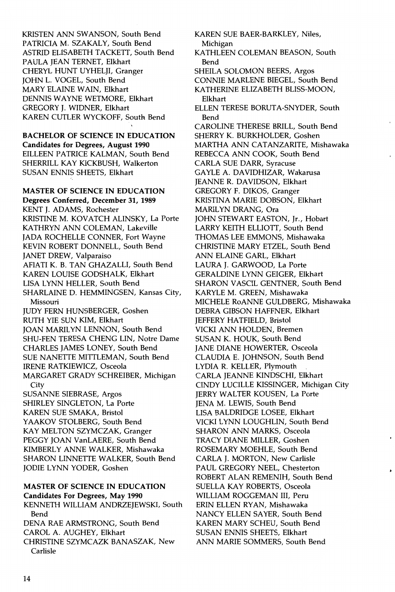KRISTEN ANN SWANSON, South Bend PATRICIA M. SZAKALY, South Bend ASTRID ELISABETH TACKETT, South Bend PAULA JEAN TERNET, Elkhart CHERYL HUNT UYHELII, Granger JOHN L. VOGEL, South Bend MARY ELAINE WAIN, Elkhart DENNIS WAYNE WETMORE, Elkhart GREGORY J. WIDNER, Elkhart KAREN CUTLER WYCKOFF, South. Bend

**BACHELOR OF SCIENCE IN EDUCATION Candidates for Degrees, August 1990**  EILLEEN PATRICE KALMAN, South Bend SHERRILL KAY KICKBUSH, Walkerton SUSAN ENNIS SHEETS, Elkhart

**MASTER OF SCIENCE IN EDUCATION Degrees Conferred, December 31, 1989**  KENT **J.** ADAMS, Rochester KRISTINE M. KOVATCH ALINSKY, La Porte KATHRYN ANN COLEMAN, Lakeville JADA ROCHELLE CONNER, Fort Wayne KEVIN ROBERT DONNELL, South Bend JANET DREW, Valparaiso AFIATI K. B. TAN GHAZALLI, South Bend KAREN LOUISE GODSHALK, Elkhart LISA LYNN HELLER, South Bend SHARLAINE D. HEMMINGSEN, Kansas City, Missouri JUDY FERN HUNSBERGER, Goshen RUTH YIE SUN KIM, Elkhart JOAN MARILYN LENNON, South Bend SHU-FEN TERESA CHENG LIN, Notre Dame CHARLES JAMES LONEY, South Bend SUE NANETTE MITTLEMAN, South Bend IRENE RATKIEWICZ, Osceola MARGARET GRADY SCHREIBER, Michigan **City** SUSANNE SIEBRASE, Argos SHIRLEY SINGLETON, La Porte KAREN SUE SMAKA, Bristol YAAKOV STOLBERG, South Bend KAY MELTON SZYMCZAK, Granger PEGGY JOAN VanLAERE, South Bend KIMBERLY ANNE WALKER, Mishawaka SHARON LINNETTE WALKER, South Bend JODIE LYNN YODER, Goshen

### **MASTER OF SCIENCE IN EDUCATION Candidates For Degrees, May 1990**

KENNETH WILLIAM ANDRZEJEWSKI, South Bend DENA RAE ARMSTRONG, South Bend CAROL A. AUGHEY, Elkhart CHRISTINE SZYMCAZK BANASZAK, New Carlisle

KAREN SUE BAER-BARKLEY, Niles, Michigan KATHLEEN COLEMAN BEASON, South Bend SHEILA SOLOMON BEERS, Argos CONNIE MARLENE BIEGEL, South Bend KATHERINE ELIZABETH BLISS-MOON, Elkhart ELLEN TERESE BORUTA-SNYDER, South Bend CAROLINE THERESE BRILL, South Bend SHERRY K. BURKHOLDER, Goshen MARTHA ANN CATANZARITE, Mishawaka REBECCA ANN COOK, South Bend CARLA SUE DARR, Syracuse GAYLE A. DAVIDHIZAR, Wakarusa JEANNE R. DAVIDSON, Elkhart GREGORY F. DIKOS, Granger KRISTINA MARIE DOBSON, Elkhart MARILYN DRANG, Ora JOHN STEWART EASTON, Jr., Hobart LARRY KEITH ELLIOTT, South Bend THOMAS LEE EMMONS, Mishawaka CHRISTINE MARY ETZEL, South Bend ANN ELAINE GARL, Elkhart LAURA **J.** GARWOOD, La Porte GERALDINE LYNN GEIGER, Elkhart SHARON VASCIL GENTNER, South Bend KARYLE M. GREEN, Mishawaka MICHELE RoANNE GOLDBERG, Mishawaka DEBRA GIBSON HAFFNER, Elkhart JEFFERY HATFIELD, Bristol VICKI ANN HOLDEN, Bremen SUSAN K. HOUK, South Bend JANE DIANE HOWERTER, Osceola CLAUDIA E. JOHNSON, South Bend LYDIA R. KELLER, Plymouth CARLA JEANNE KINDSCHI, Elkhart CINDY LUCILLE KISSINGER, Michigan City JERRY WALTER KOUSEN, La Porte JENA M. LEWIS, South Bend LISA BALDRIDGE LOSEE, Elkhart VICKI LYNN LOUGHLIN, South Bend SHARON ANN MARKS, Osceola TRACY DIANE MILLER, Goshen ROSEMARY MOEHLE, South Bend CARLA J. MORTON, New Carlisle PAUL GREGORY NEEL, Chesterton ROBERT ALAN REMENIH, South Bend SUELLA KAY ROBERTS, Osceola WILLIAM ROGGEMAN III, Peru ERIN ELLEN RYAN, Mishawaka NANCY ELLEN SAYER, South Bend KAREN MARY SCHEU, South Bend SUSAN ENNIS SHEETS, Elkhart ANN MARIE SOMMERS, South Bend

 $\blacksquare$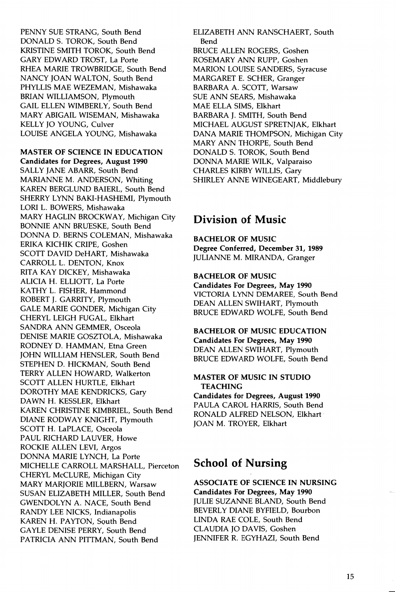PENNY SUE STRANG, South Bend DONALD S. TOROK, South Bend KRISTINE SMITH TOROK, South Bend GARY EDWARD TROST, La Porte RHEA MARIE TROWBRIDGE, South Bend NANCY JOAN WALTON, South Bend PHYLLIS MAE WEZEMAN, Mishawaka BRIAN WILLIAMSON, Plymouth GAIL ELLEN WIMBERLY, South Bend MARY ABIGAIL WISEMAN, Mishawaka KELLY JO YOUNG, Culver LOUISE ANGELA YOUNG, Mishawaka

MASTER OF SCIENCE IN EDUCATION Candidates for Degrees, August 1990 SALLY JANE ABARR, South Bend MARIANNE M. ANDERSON, Whiting KAREN BERGLUND BAIERL, South Bend SHERRY LYNN BAKI-HASHEMI, Plymouth LORI L. BOWERS, Mishawaka MARY HAGLIN BROCKWAY, Michigan City BONNIE ANN BRUESKE, South Bend DONNA D. BERNS COLEMAN, Mishawaka ERIKA KICHIK CRIPE, Goshen SCOTT DAVID DeHART, Mishawaka CARROLL L. DENTON, Knox RITA KAY DICKEY, Mishawaka ALICIA H. ELLIOTT, La Porte KATHY L. FISHER, Hammond ROBERT J. GARRITY, Plymouth GALE MARIE GONDER, Michigan City CHERYL LEIGH FUGAL, Elkhart SANDRA ANN GEMMER, Osceola DENISE MARIE GOSZTOLA, Mishawaka RODNEY D. HAMMAN, Etna Green JOHN WILLIAM HENSLER, South Bend STEPHEN D. HICKMAN, South Bend TERRY ALLEN HOWARD, Walkerton SCOTT ALLEN HURTLE, Elkhart DOROTHY MAE KENDRICKS, Gary DAWN H. KESSLER, Elkhart KAREN CHRISTINE KIMBRIEL, South Bend DIANE RODWAY KNIGHT, Plymouth SCOTT H. LaPLACE, Osceola PAUL RICHARD LAUVER, Howe ROCKIE ALLEN LEVI, Argos DONNA MARIE LYNCH, La Porte MICHELLE CARROLL MARSHALL, Pierceton CHERYL McCLURE, Michigan City MARY MARJORIE MILLBERN, Warsaw SUSAN ELIZABETH MILLER, South Bend GWENDOLYN A. NACE, South Bend RANDY LEE NICKS, Indianapolis KAREN H. PAYTON, South Bend GAYLE DENISE PERRY, South Bend PATRICIA ANN PITTMAN, South Bend

ELIZABETH ANN RANSCHAERT, South Bend BRUCE ALLEN ROGERS, Goshen ROSEMARY ANN RUPP, Goshen MARION LOUISE SANDERS, Syracuse MARGARET E. SCHER, Granger BARBARA A. SCOTT, Warsaw SUE ANN SEARS, Mishawaka MAE ELLA SIMS, Elkhart BARBARA J. SMITH, South Bend MICHAEL AUGUST SPRETNJAK, Elkhart DANA MARIE THOMPSON, Michigan City MARY ANN THORPE, South Bend DONALD S. TOROK, South Bend DONNA MARIE WILK, Valparaiso CHARLES KIRBY WILLIS, Gary SHIRLEY ANNE WINEGEART, Middlebury

### **Division of Music**

BACHELOR OF MUSIC Degree Conferred, December 31, 1989 JULIANNE M. MIRANDA, Granger

BACHELOR OF MUSIC Candidates For Degrees, May 1990 VICTORIA LYNN DEMAREE, South Bend DEAN ALLEN SWIHART, Plymouth BRUCE EDWARD WOLFE, South Bend

BACHELOR OF MUSIC EDUCATION Candidates For Degrees, May 1990 DEAN ALLEN SWIHART, Plymouth BRUCE EDWARD WOLFE, South Bend

### MASTER OF MUSIC IN STUDIO **TEACHING**

Candidates for Degrees, August 1990 PAULA CAROL HARRIS, South Bend RONALD ALFRED NELSON, Elkhart JOAN M. TROYER, Elkhart

### **School of Nursing**

ASSOCIATE OF SCIENCE IN NURSING Candidates For Degrees, May 1990 JULIE SUZANNE BLAND, South Bend BEVERLY DIANE BYFIELD, Bourbon LINDA RAE COLE, South Bend CLAUDIA JO DAVIS, Goshen JENNIFER R. EGYHAZI, South Bend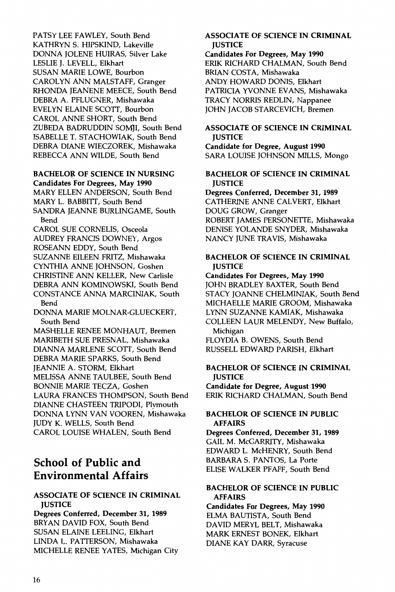PATSY LEE FAWLEY, South Bend KATHRYN S. HIPSKIND, Lakeville DONNA JOLENE HUIRAS, Silver Lake LESLIE J. LEVELL, Elkhart SUSAN MARIE LOWE, Bourbon CAROLYN ANN MALSTAFF, Granger RHONDA JEANENE MEECE, South Bend DEBRA A. PFLUGNER, Mishawaka EVELYN ELAINE SCOTT, Bourbon CAROL ANNE SHORT, South Bend ZUBEDA BADRUDDIN SOM)I, South Bend ISABELLE T. STACHOWIAK, South Bend DEBRA DIANE WIECZOREK, Mishawaka REBECCA ANN WILDE, South Bend

### BACHELOR OF SCIENCE IN NURSING

Candidates For Degrees, May 1990 MARY ELLEN ANDERSON, South Bend MARY L. BABBITT, South Bend SANDRA JEANNE BURLINGAME, South Bend

CAROL SUE CORNELIS, Osceola AUDREY FRANCIS DOWNEY, Argos ROSEANN EDDY, South Bend SUZANNE EILEEN FRITZ, Mishawaka CYNTHIA ANNE JOHNSON, Goshen CHRISTINE ANN KELLER, New Carlisle DEBRA ANN KOMINOWSKI, South Bend CONSTANCE ANNA MARCINIAK, South Bend

DONNA MARIE MOLNAR-GLUECKERT, South Bend

MASHELLE RENEE MONHAUT, Bremen MARIBETH SUE PRESNAL, Mishawaka DIANNA MARLENE SCOTT, South Bend DEBRA MARIE SPARKS, South Bend JEANNIE A. STORM, Elkhart MELISSA ANNE TAULBEE, South Bend BONNIE MARIE TECZA, Goshen LAURA FRANCES THOMPSON, South Bend DIANNE CHASTEEN TRIPODI, Plymouth DONNA LYNN VAN VOOREN, Mishawaka JUDY K. WELLS, South Bend CAROL LOUISE WHALEN, South Bend

### **School of Public and Environmental Affairs**

### ASSOCIATE OF SCIENCE IN CRIMINAL **IUSTICE**

Degrees Conferred, December 31, 1989 BRYAN DAVID FOX, South Bend SUSAN ELAINE LEELING, Elkhart LINDA L. PATTERSON, Mishawaka MICHELLE RENEE YATES, Michigan City

### ASSOCIATE OF SCIENCE IN CRIMINAL **IUSTICE**

Candidates For Degrees, May 1990 ERIK RICHARD CHALMAN, South Bend BRIAN COSTA, Mishawaka ANDY HOWARD DONIS, Elkhart PATRICIA YVONNE EVANS, Mishawaka TRACY NORRIS REDLIN, Nappanee JOHN JACOB STARCEVICH, Bremen

### ASSOCIATE OF SCIENCE IN CRIMINAL **IUSTICE**

Candidate for Degree, August 1990 SARA LOUISE JOHNSON MILLS, Mongo

### BACHELOR OF SCIENCE IN CRIMINAL **IUSTICE**

Degrees Conferred, December 31, 1989 CATHERINE ANNE CALVERT, Elkhart DOUG GROW, Granger ROBERT JAMES PERSONETTE, Mishawaka DENISE YOLANDE SNYDER, Mishawaka NANCY JUNE TRAVIS, Mishawaka

### BACHELOR OF SCIENCE IN CRIMINAL **JUSTICE**

Candidates For Degrees, May 1990 JOHN BRADLEY BAXTER, South Bend STACY JOANNE CHELMINIAK, South Bend MICHAELLE MARIE GROOM, Mishawaka LYNN SUZANNE KAMIAK, Mishawaka COLLEEN LAUR MELENDY, New Buffalo, Michigan FLOYDIA B. OWENS, South Bend RUSSELL EDWARD PARISH, Elkhart

### BACHELOR OF SCIENCE IN CRIMINAL **IUSTICE**

Candidate for Degree, August 1990 ERIK RICHARD CHALMAN, South Bend

### BACHELOR OF SCIENCE IN PUBLIC AFFAIRS

Degrees Conferred, December 31, 1989 GAIL M. McGARRITY, Mishawaka EDWARD L. McHENRY, South Bend BARBARA S. PANTOS, La Porte ELISE WALKER PFAFF, South Bend

### BACHELOR OF SCIENCE IN PUBLIC AFFAIRS

Candidates For Degrees, May 1990 ELMA BAUTISTA, South Bend DAVID MERYL BELT, Mishawaka MARK ERNEST BONEK, Elkhart DIANE KAY DARR, Syracuse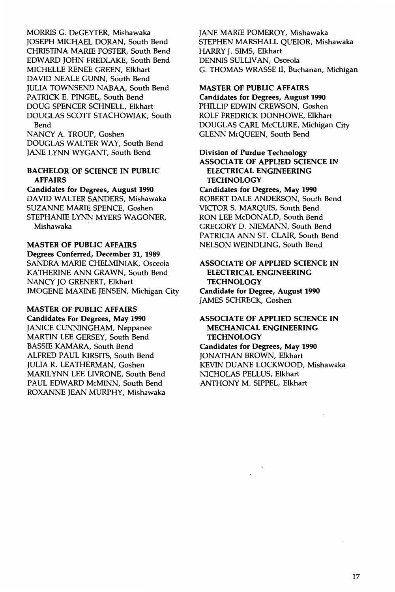MORRIS G. DeGEYTER, Mishawaka JOSEPH MICHAEL DORAN, South Bend CHRISTINA MARIE FOSTER, South Bend EDWARD JOHN FREDLAKE, South Bend MICHELLE RENEE GREEN, Elkhart DAVID NEALE GUNN, South Bend JULIA TOWNSEND NABAA, South Bend PATRICK E. PINGEL, South Bend DOUG SPENCER SCHNELL, Elkhart DOUGLAS SCOTT STACHOWIAK, South Bend NANCY A. TROUP, Goshen

DOUGLAS WALTER WAY, South Bend JANE LYNN WYGANT, South Bend

### BACHELOR OF SCIENCE IN PUBLIC AFFAIRS

Candidates for Degrees, August 1990 DAVID WALTER SANDERS, Mishawaka SUZANNE MARIE SPENCE, Goshen STEPHANIE LYNN MYERS WAGONER, Mishawaka

MASTER OF PUBLIC AFFAIRS Degrees Conferred, December 31, 1989 SANDRA MARIE CHELMINIAK, Osceola KATHERINE ANN GRAWN, South Bend NANCY JO GRENERT, Elkhart IMOGENE MAXINE JENSEN, Michigan City

### MASTER OF PUBLIC AFFAIRS

Candidates For Degrees, May 1990 JANICE CUNNINGHAM, Nappanee MARTIN LEE GERSEY, South Bend BASSIE KAMARA, South Bend ALFRED PAUL KIRSITS, South Bend JULIA R. LEATHERMAN, Goshen MARILYNN LEE LIVRONE, South Bend PAUL EDWARD McMINN, South Bend ROXANNE JEAN MURPHY, Mishawaka JANE MARIE POMEROY, Mishawaka STEPHEN MARSHALL QUEIOR, Mishawaka HARRY J. SIMS, Elkhart DENNIS SULLIVAN, Osceola G. THOMAS WRASSE II, Buchanan, Michigan

### MASTER OF PUBLIC AFFAIRS

Candidates for Degrees, August 1990 PHILLIP EDWIN CREWSON, Goshen ROLF FREDRICK DONHOWE, Elkhart DOUGLAS CARL McCLURE, Michigan City GLENN McQUEEN, South Bend

### Division of Purdue Technology ASSOCIATE OF APPLIED SCIENCE IN ELECTRICAL ENGINEERING TECHNOLOGY

Candidates for Degrees, May 1990 ROBERT DALE ANDERSON, South Bend VICTOR S. MARQUIS, South Bend RON LEE McDONALD, South Bend GREGORY D. NIEMANN, South Bend PATRICIA ANN ST. CLAIR, South Bend NELSON WEINDLING, South Bend

#### ASSOCIATE OF APPLIED SCIENCE IN ELECTRICAL ENGINEERING **TECHNOLOGY**

Candidate for Degree, August 1990 JAMES SCHRECK, Goshen

### ASSOCIATE OF APPLIED SCIENCE IN MECHANICAL ENGINEERING **TECHNOLOGY**

Candidates for Degrees, May 1990 JONATHAN BROWN, Elkhart KEVIN DUANE LOCKWOOD, Mishawaka NICHOLAS PELLUS, Elkhart ANTHONY M. SIPPEL, Elkhart